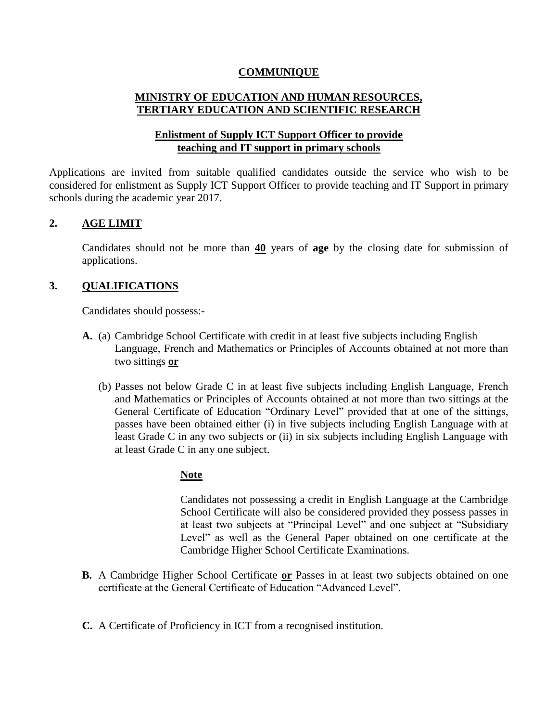## **COMMUNIQUE**

# **MINISTRY OF EDUCATION AND HUMAN RESOURCES, TERTIARY EDUCATION AND SCIENTIFIC RESEARCH**

## **Enlistment of Supply ICT Support Officer to provide teaching and IT support in primary schools**

Applications are invited from suitable qualified candidates outside the service who wish to be considered for enlistment as Supply ICT Support Officer to provide teaching and IT Support in primary schools during the academic year 2017.

## **2. AGE LIMIT**

Candidates should not be more than **40** years of **age** by the closing date for submission of applications.

## **3. QUALIFICATIONS**

Candidates should possess:-

- **A.** (a) Cambridge School Certificate with credit in at least five subjects including English Language, French and Mathematics or Principles of Accounts obtained at not more than two sittings **or**
	- (b) Passes not below Grade C in at least five subjects including English Language, French and Mathematics or Principles of Accounts obtained at not more than two sittings at the General Certificate of Education "Ordinary Level" provided that at one of the sittings, passes have been obtained either (i) in five subjects including English Language with at least Grade C in any two subjects or (ii) in six subjects including English Language with at least Grade C in any one subject.

## **Note**

Candidates not possessing a credit in English Language at the Cambridge School Certificate will also be considered provided they possess passes in at least two subjects at "Principal Level" and one subject at "Subsidiary Level" as well as the General Paper obtained on one certificate at the Cambridge Higher School Certificate Examinations.

- **B.** A Cambridge Higher School Certificate **or** Passes in at least two subjects obtained on one certificate at the General Certificate of Education "Advanced Level".
- **C.** A Certificate of Proficiency in ICT from a recognised institution.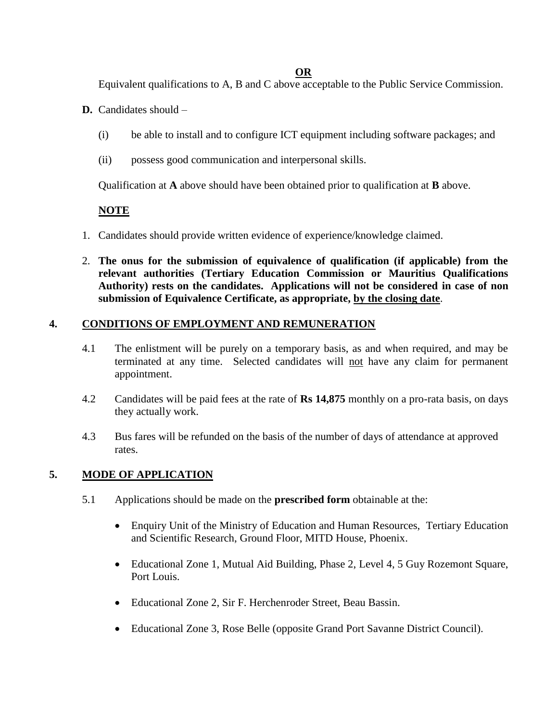#### **OR**

Equivalent qualifications to A, B and C above acceptable to the Public Service Commission.

- **D.** Candidates should
	- (i) be able to install and to configure ICT equipment including software packages; and
	- (ii) possess good communication and interpersonal skills.

Qualification at **A** above should have been obtained prior to qualification at **B** above.

# **NOTE**

- 1. Candidates should provide written evidence of experience/knowledge claimed.
- 2. **The onus for the submission of equivalence of qualification (if applicable) from the relevant authorities (Tertiary Education Commission or Mauritius Qualifications Authority) rests on the candidates. Applications will not be considered in case of non submission of Equivalence Certificate, as appropriate, by the closing date**.

# **4. CONDITIONS OF EMPLOYMENT AND REMUNERATION**

- 4.1 The enlistment will be purely on a temporary basis, as and when required, and may be terminated at any time. Selected candidates will not have any claim for permanent appointment.
- 4.2 Candidates will be paid fees at the rate of **Rs 14,875** monthly on a pro-rata basis, on days they actually work.
- 4.3 Bus fares will be refunded on the basis of the number of days of attendance at approved rates.

# **5. MODE OF APPLICATION**

- 5.1 Applications should be made on the **prescribed form** obtainable at the:
	- Enquiry Unit of the Ministry of Education and Human Resources, Tertiary Education and Scientific Research, Ground Floor, MITD House, Phoenix.
	- Educational Zone 1, Mutual Aid Building, Phase 2, Level 4, 5 Guy Rozemont Square, Port Louis.
	- Educational Zone 2, Sir F. Herchenroder Street, Beau Bassin.
	- Educational Zone 3, Rose Belle (opposite Grand Port Savanne District Council).